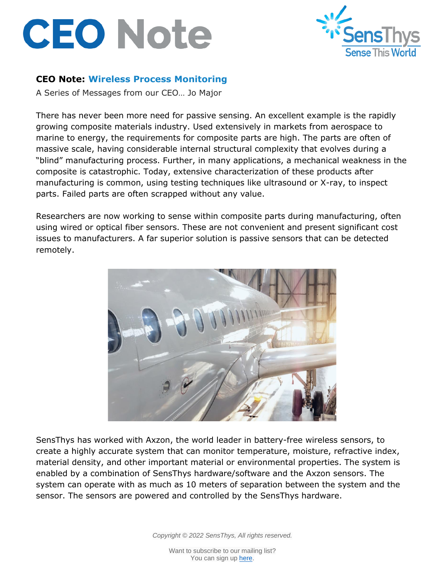## **CEO Note**



## **CEO Note: Wireless Process Monitoring**

A Series of Messages from our CEO… Jo Major

There has never been more need for passive sensing. An excellent example is the rapidly growing composite materials industry. Used extensively in markets from aerospace to marine to energy, the requirements for composite parts are high. The parts are often of massive scale, having considerable internal structural complexity that evolves during a "blind" manufacturing process. Further, in many applications, a mechanical weakness in the composite is catastrophic. Today, extensive characterization of these products after manufacturing is common, using testing techniques like ultrasound or X-ray, to inspect parts. Failed parts are often scrapped without any value.

Researchers are now working to sense within composite parts during manufacturing, often using wired or optical fiber sensors. These are not convenient and present significant cost issues to manufacturers. A far superior solution is passive sensors that can be detected remotely.



SensThys has worked with Axzon, the world leader in battery-free wireless sensors, to create a highly accurate system that can monitor temperature, moisture, refractive index, material density, and other important material or environmental properties. The system is enabled by a combination of SensThys hardware/software and the Axzon sensors. The system can operate with as much as 10 meters of separation between the system and the sensor. The sensors are powered and controlled by the SensThys hardware.

*Copyright © 2022 SensThys, All rights reserved.*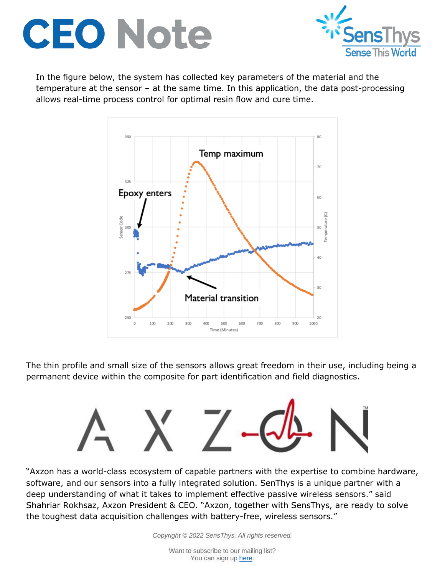



In the figure below, the system has collected key parameters of the material and the temperature at the sensor – at the same time. In this application, the data post-processing allows real-time process control for optimal resin flow and cure time.



The thin profile and small size of the sensors allows great freedom in their use, including being a permanent device within the composite for part identification and field diagnostics.



"Axzon has a world-class ecosystem of capable partners with the expertise to combine hardware, software, and our sensors into a fully integrated solution. SenThys is a unique partner with a deep understanding of what it takes to implement effective passive wireless sensors." said Shahriar Rokhsaz, Axzon President & CEO. "Axzon, together with SensThys, are ready to solve the toughest data acquisition challenges with battery-free, wireless sensors."

*Copyright © 2022 SensThys, All rights reserved.*